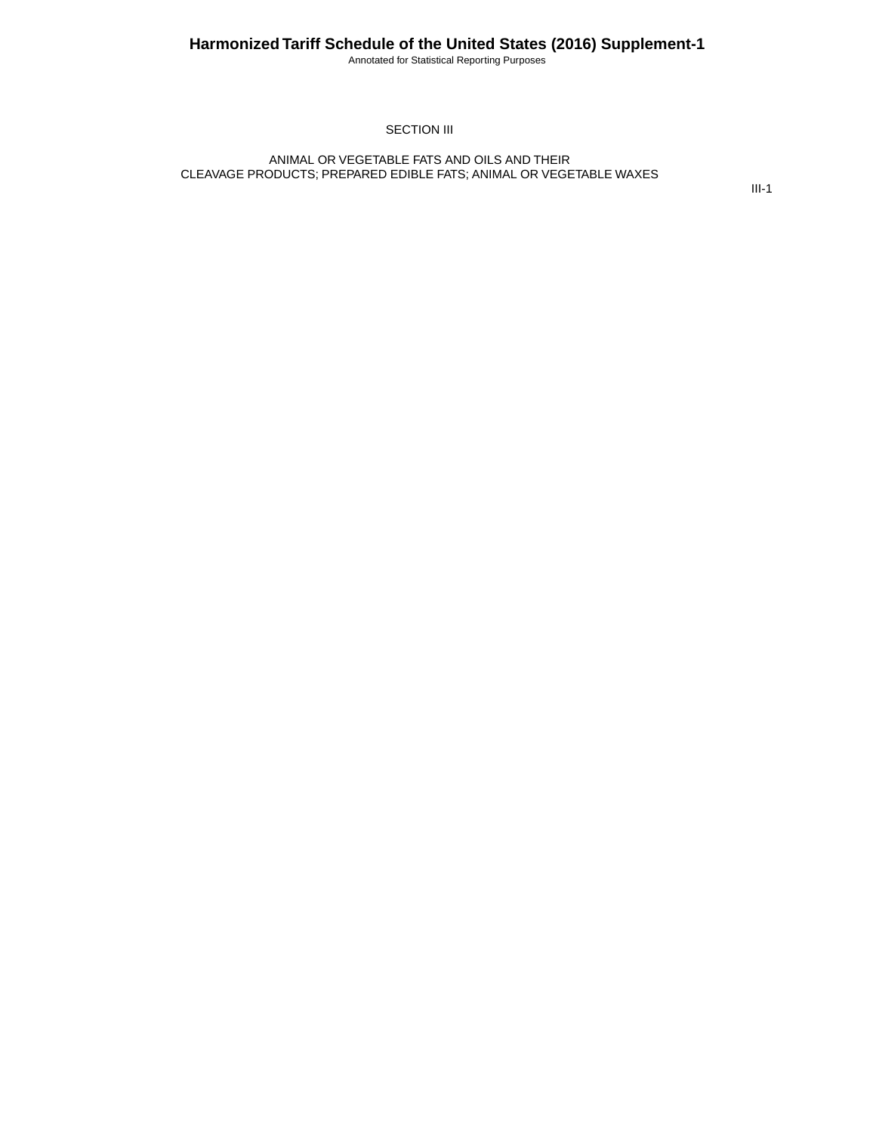Annotated for Statistical Reporting Purposes

#### SECTION III

#### ANIMAL OR VEGETABLE FATS AND OILS AND THEIR CLEAVAGE PRODUCTS; PREPARED EDIBLE FATS; ANIMAL OR VEGETABLE WAXES

III-1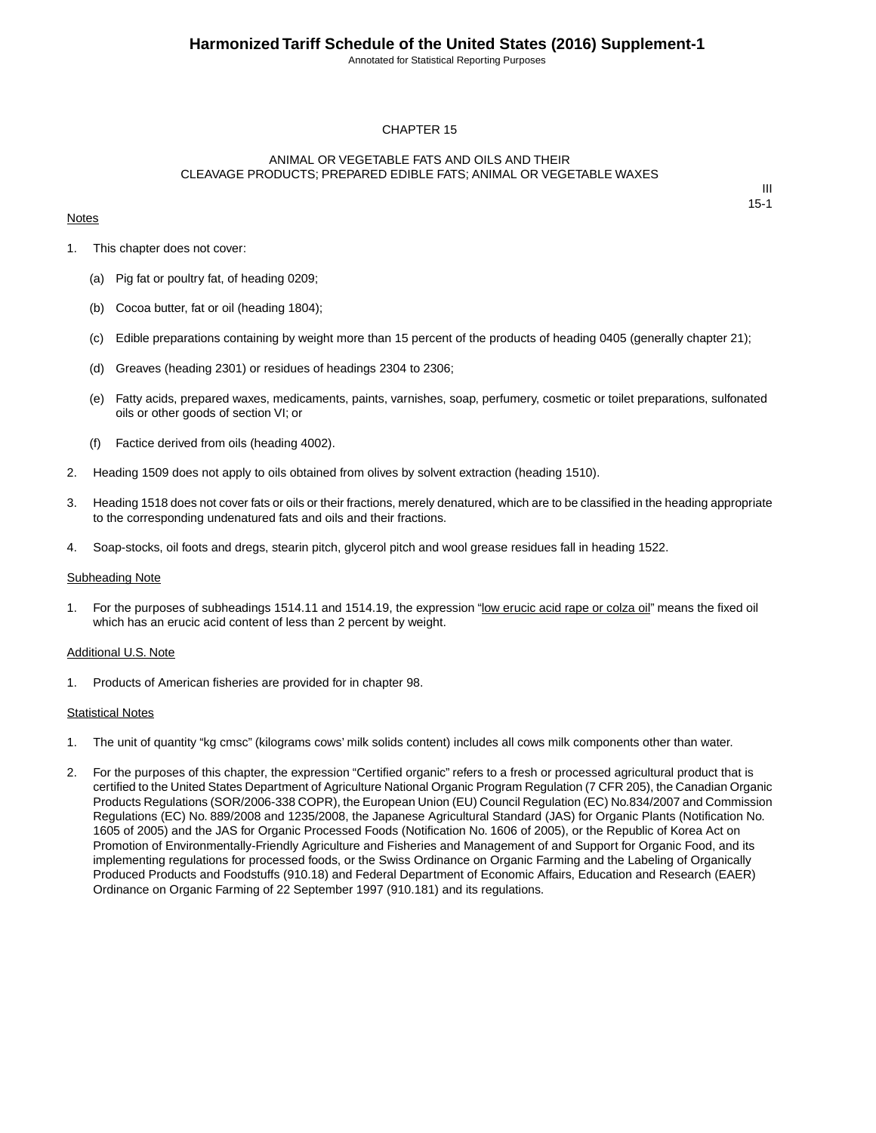Annotated for Statistical Reporting Purposes

#### CHAPTER 15

#### ANIMAL OR VEGETABLE FATS AND OILS AND THEIR CLEAVAGE PRODUCTS; PREPARED EDIBLE FATS; ANIMAL OR VEGETABLE WAXES

#### **Notes**

III 15-1

- 1. This chapter does not cover:
	- (a) Pig fat or poultry fat, of heading 0209;
	- (b) Cocoa butter, fat or oil (heading 1804);
	- (c) Edible preparations containing by weight more than 15 percent of the products of heading 0405 (generally chapter 21);
	- (d) Greaves (heading 2301) or residues of headings 2304 to 2306;
	- (e) Fatty acids, prepared waxes, medicaments, paints, varnishes, soap, perfumery, cosmetic or toilet preparations, sulfonated oils or other goods of section VI; or
	- (f) Factice derived from oils (heading 4002).
- 2. Heading 1509 does not apply to oils obtained from olives by solvent extraction (heading 1510).
- 3. Heading 1518 does not cover fats or oils or their fractions, merely denatured, which are to be classified in the heading appropriate to the corresponding undenatured fats and oils and their fractions.
- 4. Soap-stocks, oil foots and dregs, stearin pitch, glycerol pitch and wool grease residues fall in heading 1522.

#### Subheading Note

1. For the purposes of subheadings 1514.11 and 1514.19, the expression "low erucic acid rape or colza oil" means the fixed oil which has an erucic acid content of less than 2 percent by weight.

#### Additional U.S. Note

1. Products of American fisheries are provided for in chapter 98.

#### **Statistical Notes**

- 1. The unit of quantity "kg cmsc" (kilograms cows' milk solids content) includes all cows milk components other than water.
- 2. For the purposes of this chapter, the expression "Certified organic" refers to a fresh or processed agricultural product that is certified to the United States Department of Agriculture National Organic Program Regulation (7 CFR 205), the Canadian Organic Products Regulations (SOR/2006-338 COPR), the European Union (EU) Council Regulation (EC) No.834/2007 and Commission Regulations (EC) No. 889/2008 and 1235/2008, the Japanese Agricultural Standard (JAS) for Organic Plants (Notification No. 1605 of 2005) and the JAS for Organic Processed Foods (Notification No. 1606 of 2005), or the Republic of Korea Act on Promotion of Environmentally-Friendly Agriculture and Fisheries and Management of and Support for Organic Food, and its implementing regulations for processed foods, or the Swiss Ordinance on Organic Farming and the Labeling of Organically Produced Products and Foodstuffs (910.18) and Federal Department of Economic Affairs, Education and Research (EAER) Ordinance on Organic Farming of 22 September 1997 (910.181) and its regulations.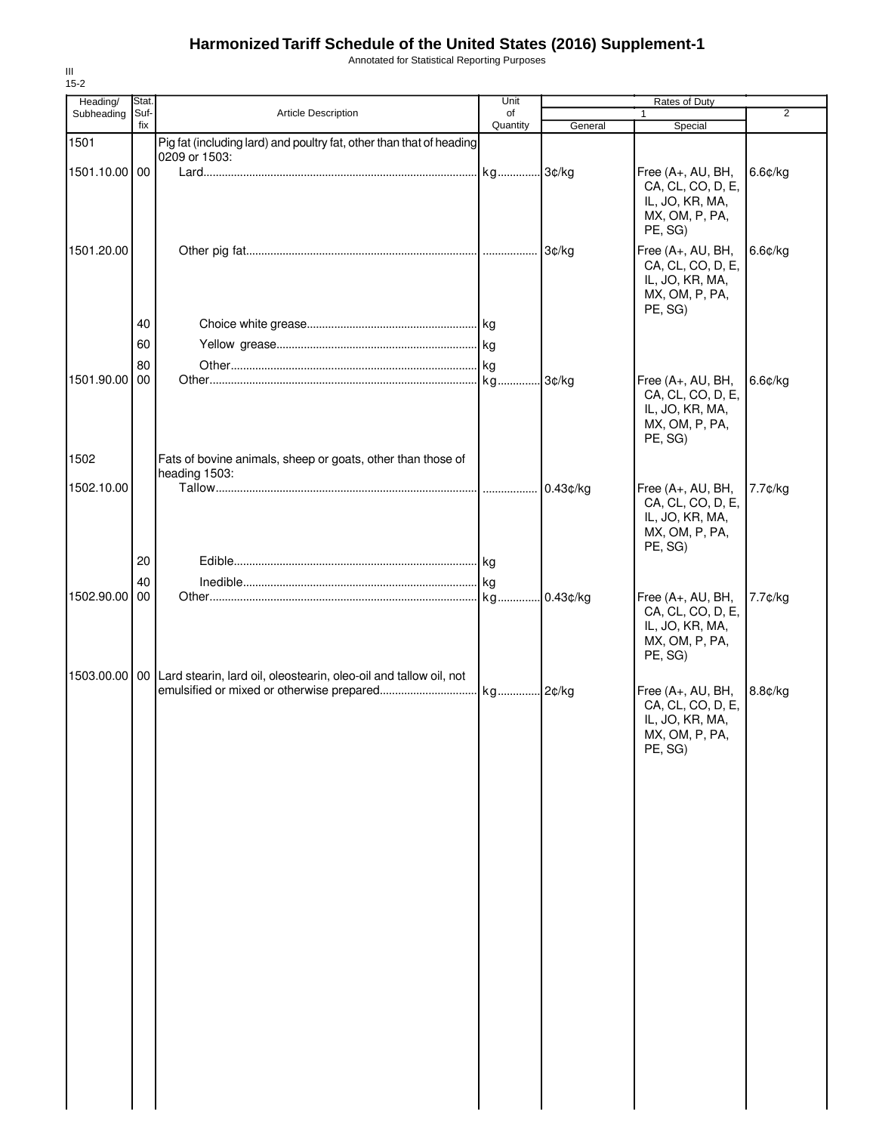Annotated for Statistical Reporting Purposes

| Heading/<br>Subheading | Stat.<br>Suf- | Article Description                                                          | Unit<br>of |             | Rates of Duty<br>$\mathbf{1}$                                                          | $\overline{2}$ |
|------------------------|---------------|------------------------------------------------------------------------------|------------|-------------|----------------------------------------------------------------------------------------|----------------|
|                        | fix           |                                                                              | Quantity   | General     | Special                                                                                |                |
| 1501                   |               | Pig fat (including lard) and poultry fat, other than that of heading         |            |             |                                                                                        |                |
| 1501.10.00 00          |               | 0209 or 1503:                                                                |            |             | Free (A+, AU, BH,<br>CA, CL, CO, D, E,<br>IL, JO, KR, MA,<br>MX, OM, P, PA,<br>PE, SG) | $6.6$ ¢/kg     |
| 1501.20.00             |               |                                                                              |            | 3¢/kg       | Free (A+, AU, BH,<br>CA, CL, CO, D, E,<br>IL, JO, KR, MA,<br>MX, OM, P, PA,<br>PE, SG) | 6.6¢/kg        |
|                        | 40            |                                                                              |            |             |                                                                                        |                |
|                        | 60            |                                                                              |            |             |                                                                                        |                |
|                        | 80            |                                                                              |            |             |                                                                                        |                |
| 1501.90.00             | 00            |                                                                              |            |             | Free (A+, AU, BH,<br>CA, CL, CO, D, E,<br>IL, JO, KR, MA,<br>MX, OM, P, PA,<br>PE, SG) | $6.6$ ¢/kg     |
| 1502                   |               | Fats of bovine animals, sheep or goats, other than those of<br>heading 1503: |            |             |                                                                                        |                |
| 1502.10.00             |               |                                                                              |            | $0.43$ ¢/kg | Free (A+, AU, BH,<br>CA, CL, CO, D, E,<br>IL, JO, KR, MA,<br>MX, OM, P, PA,<br>PE, SG) | 7.7¢/kg        |
|                        | 20            |                                                                              |            |             |                                                                                        |                |
|                        | 40            |                                                                              |            |             |                                                                                        |                |
| 1502.90.00             | 00            |                                                                              |            | $0.43$ ¢/kg | Free (A+, AU, BH,<br>CA, CL, CO, D, E,<br>IL, JO, KR, MA,<br>MX, OM, P, PA,<br>PE, SG) | 7.7¢/kg        |
| 1503.00.00 00          |               | Lard stearin, lard oil, oleostearin, oleo-oil and tallow oil, not            |            |             | Free (A+, AU, BH,<br>CA, CL, CO, D, E,<br>IL, JO, KR, MA,<br>MX, OM, P, PA,<br>PE, SG) | 8.8¢/kg        |

III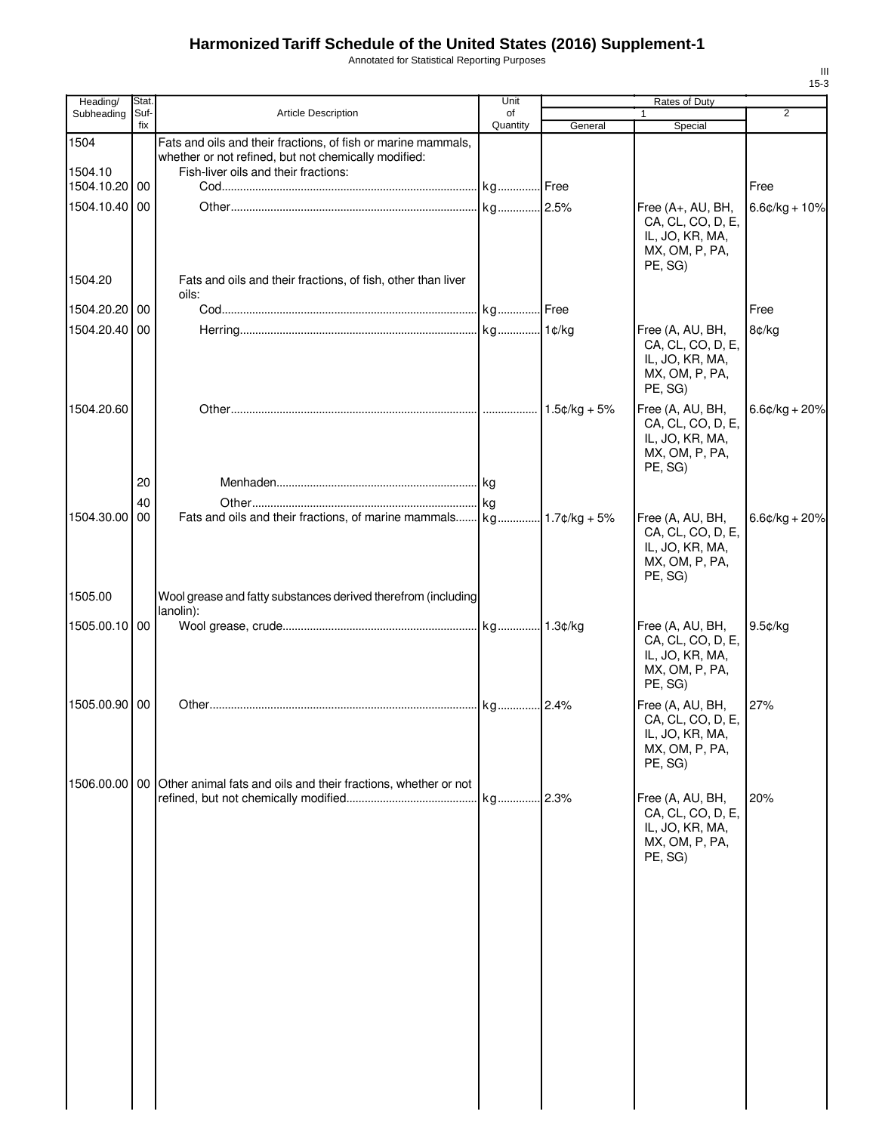Annotated for Statistical Reporting Purposes

| Heading/      | Stat.       |                                                                                                                       | Unit           |                | <b>Rates of Duty</b>                                                                   |                  |
|---------------|-------------|-----------------------------------------------------------------------------------------------------------------------|----------------|----------------|----------------------------------------------------------------------------------------|------------------|
| Subheading    | Suf-<br>fix | <b>Article Description</b>                                                                                            | of<br>Quantity | General        | $\mathbf{1}$<br>Special                                                                | 2                |
| 1504          |             | Fats and oils and their fractions, of fish or marine mammals,<br>whether or not refined, but not chemically modified: |                |                |                                                                                        |                  |
| 1504.10       |             | Fish-liver oils and their fractions:                                                                                  |                |                |                                                                                        |                  |
| 1504.10.20 00 |             |                                                                                                                       |                |                |                                                                                        | Free             |
| 1504.10.40 00 |             |                                                                                                                       |                |                | Free (A+, AU, BH,<br>CA, CL, CO, D, E,<br>IL, JO, KR, MA,<br>MX, OM, P, PA,<br>PE, SG) | $6.6¢/kg + 10%$  |
| 1504.20       |             | Fats and oils and their fractions, of fish, other than liver<br>oils:                                                 |                |                |                                                                                        |                  |
| 1504.20.20 00 |             |                                                                                                                       |                |                |                                                                                        | Free             |
| 1504.20.40 00 |             |                                                                                                                       |                |                | Free (A, AU, BH,<br>CA, CL, CO, D, E,<br>IL, JO, KR, MA,<br>MX, OM, P, PA,<br>PE, SG)  | 8¢/kg            |
| 1504.20.60    |             |                                                                                                                       |                | $1.5¢/kg + 5%$ | Free (A, AU, BH,<br>CA, CL, CO, D, E,<br>IL, JO, KR, MA,<br>MX, OM, P, PA,<br>PE, SG)  | $6.6$ ¢/kg + 20% |
|               | 20          |                                                                                                                       |                |                |                                                                                        |                  |
| 1504.30.00    | 40<br>00    |                                                                                                                       |                |                | Free (A, AU, BH,<br>CA, CL, CO, D, E,<br>IL, JO, KR, MA,<br>MX, OM, P, PA,<br>PE, SG)  | $6.6¢/kg + 20%$  |
| 1505.00       |             | Wool grease and fatty substances derived therefrom (including<br>lanolin):                                            |                |                |                                                                                        |                  |
| 1505.00.10 00 |             |                                                                                                                       |                |                | Free (A, AU, BH,<br>CA, CL, CO, D, E,<br>IL, JO, KR, MA,<br>MX, OM, P, PA,<br>PE, SG)  | 9.5¢/kg          |
| 1505.00.90 00 |             |                                                                                                                       |                |                | Free (A, AU, BH,<br>CA, CL, CO, D, E,<br>IL, JO, KR, MA,<br>MX, OM, P, PA,<br>PE, SG)  | 27%              |
|               |             | 1506.00.00 00 Other animal fats and oils and their fractions, whether or not                                          |                |                | Free (A, AU, BH,<br>CA, CL, CO, D, E,<br>IL, JO, KR, MA,<br>MX, OM, P, PA,<br>PE, SG)  | 20%              |
|               |             |                                                                                                                       |                |                |                                                                                        |                  |
|               |             |                                                                                                                       |                |                |                                                                                        |                  |
|               |             |                                                                                                                       |                |                |                                                                                        |                  |
|               |             |                                                                                                                       |                |                |                                                                                        |                  |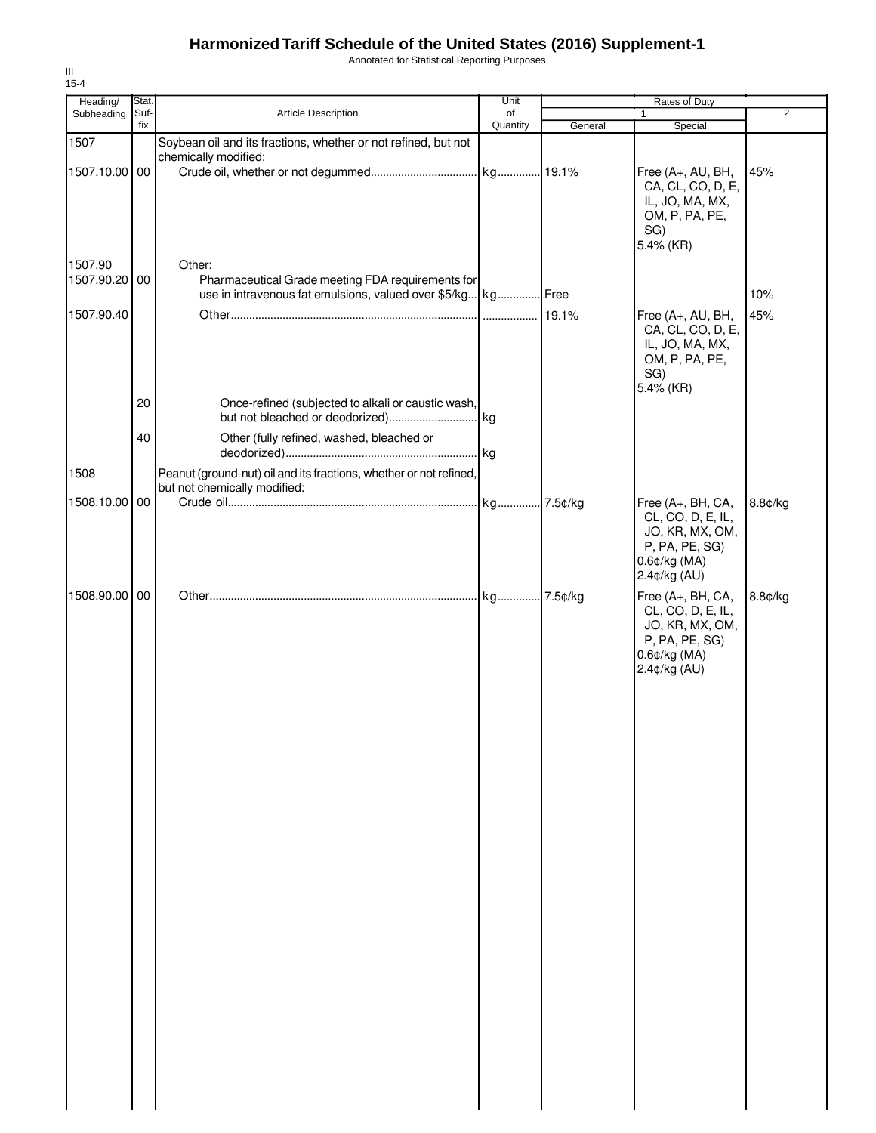Annotated for Statistical Reporting Purposes

| Heading/<br>Subheading | Stat.<br>Suf- | Article Description                                                                                               | Unit<br>of |         | Rates of Duty<br>$\mathbf{1}$                                                                               | $\overline{2}$ |
|------------------------|---------------|-------------------------------------------------------------------------------------------------------------------|------------|---------|-------------------------------------------------------------------------------------------------------------|----------------|
|                        | fix           |                                                                                                                   | Quantity   | General | Special                                                                                                     |                |
| 1507                   |               | Soybean oil and its fractions, whether or not refined, but not                                                    |            |         |                                                                                                             |                |
| 1507.10.00 00          |               | chemically modified:                                                                                              |            |         | Free (A+, AU, BH,<br>CA, CL, CO, D, E,<br>IL, JO, MA, MX,<br>OM, P, PA, PE,<br>SG)<br>5.4% (KR)             | 45%            |
| 1507.90                |               | Other:                                                                                                            |            |         |                                                                                                             |                |
| 1507.90.20 00          |               | Pharmaceutical Grade meeting FDA requirements for<br>use in intravenous fat emulsions, valued over \$5/kg kg Free |            |         |                                                                                                             | 10%            |
| 1507.90.40             |               |                                                                                                                   |            |         | Free (A+, AU, BH,<br>CA, CL, CO, D, E,<br>IL, JO, MA, MX,<br>OM, P, PA, PE,<br>SG)<br>5.4% (KR)             | 45%            |
|                        | 20            | Once-refined (subjected to alkali or caustic wash,                                                                |            |         |                                                                                                             |                |
|                        | 40            | Other (fully refined, washed, bleached or                                                                         |            |         |                                                                                                             |                |
| 1508                   |               | Peanut (ground-nut) oil and its fractions, whether or not refined,<br>but not chemically modified:                |            |         |                                                                                                             |                |
| 1508.10.00 00          |               |                                                                                                                   |            |         | Free (A+, BH, CA,<br>CL, CO, D, E, IL,<br>JO, KR, MX, OM,<br>P, PA, PE, SG)<br>0.6¢/kg (MA)<br>2.4¢/kg (AU) | 8.8¢/kg        |
| 1508.90.00 00          |               |                                                                                                                   |            |         | Free (A+, BH, CA,<br>CL, CO, D, E, IL,<br>JO, KR, MX, OM,<br>P, PA, PE, SG)<br>0.6¢/kg (MA)<br>2.4¢/kg (AU) | 8.8¢/kg        |
|                        |               |                                                                                                                   |            |         |                                                                                                             |                |
|                        |               |                                                                                                                   |            |         |                                                                                                             |                |
|                        |               |                                                                                                                   |            |         |                                                                                                             |                |
|                        |               |                                                                                                                   |            |         |                                                                                                             |                |
|                        |               |                                                                                                                   |            |         |                                                                                                             |                |
|                        |               |                                                                                                                   |            |         |                                                                                                             |                |
|                        |               |                                                                                                                   |            |         |                                                                                                             |                |
|                        |               |                                                                                                                   |            |         |                                                                                                             |                |
|                        |               |                                                                                                                   |            |         |                                                                                                             |                |

III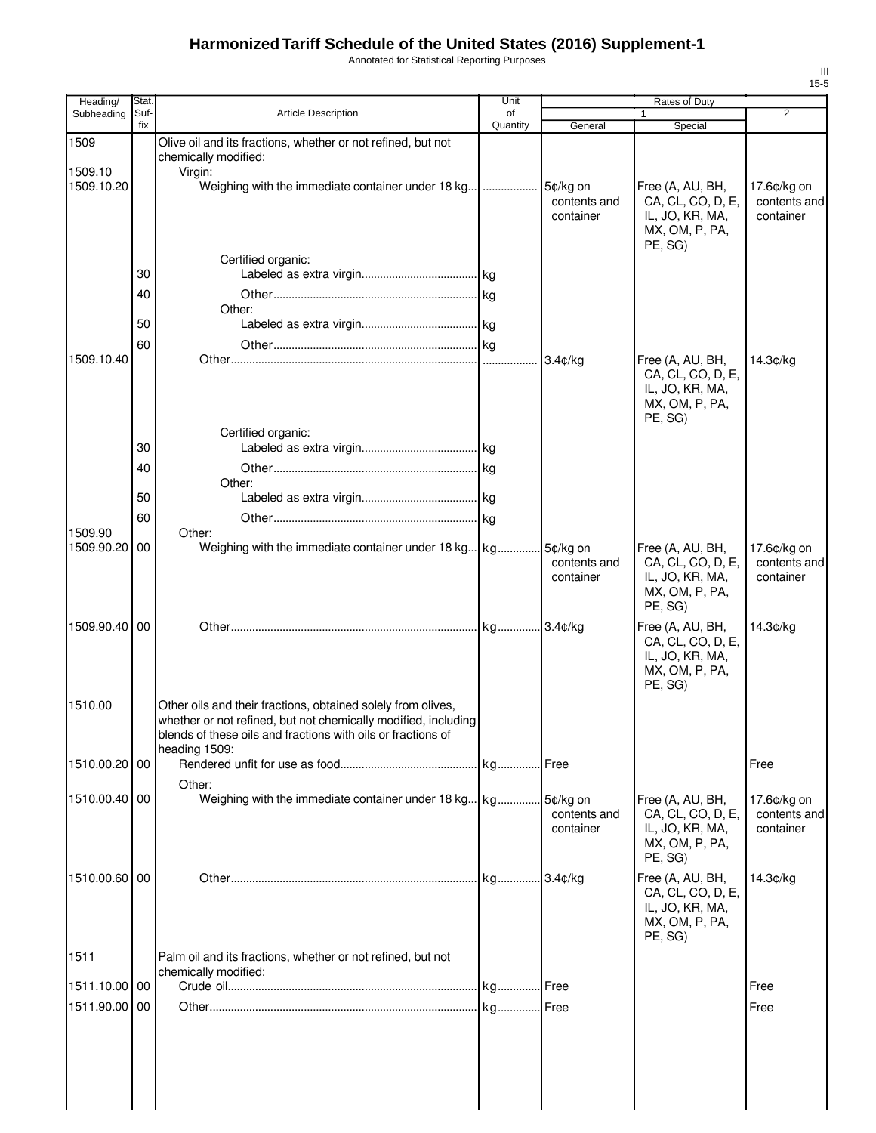Annotated for Statistical Reporting Purposes

| Heading/      | Stat.       |                                                                                                                                                                                                                 | Unit           |                                       | Rates of Duty                                                                                    |                                          |
|---------------|-------------|-----------------------------------------------------------------------------------------------------------------------------------------------------------------------------------------------------------------|----------------|---------------------------------------|--------------------------------------------------------------------------------------------------|------------------------------------------|
| Subheading    | Suf-<br>fix | <b>Article Description</b>                                                                                                                                                                                      | of<br>Quantity | General                               | $\mathbf{1}$<br>Special                                                                          | 2                                        |
| 1509          |             | Olive oil and its fractions, whether or not refined, but not                                                                                                                                                    |                |                                       |                                                                                                  |                                          |
| 1509.10       |             | chemically modified:<br>Virgin:                                                                                                                                                                                 |                |                                       |                                                                                                  |                                          |
| 1509.10.20    |             | Weighing with the immediate container under 18 kg                                                                                                                                                               | .              | 5¢/kg on<br>contents and<br>container | Free (A, AU, BH,<br>CA, CL, CO, D, E,<br>IL, JO, KR, MA,<br>MX, OM, P, PA,<br>PE, SG)            | 17.6¢/kg on<br>contents and<br>container |
|               |             | Certified organic:                                                                                                                                                                                              |                |                                       |                                                                                                  |                                          |
|               | 30          |                                                                                                                                                                                                                 |                |                                       |                                                                                                  |                                          |
|               | 40          | Other:                                                                                                                                                                                                          |                |                                       |                                                                                                  |                                          |
|               | 50          |                                                                                                                                                                                                                 |                |                                       |                                                                                                  |                                          |
|               | 60          |                                                                                                                                                                                                                 |                |                                       |                                                                                                  |                                          |
| 1509.10.40    |             |                                                                                                                                                                                                                 |                | $3.4$ ¢/kg                            | Free (A, AU, BH,<br>CA, CL, CO, D, E,<br>IL, JO, KR, MA,<br>MX, OM, P, PA,<br>PE, SG)            | 14.3¢/kg                                 |
|               | 30          | Certified organic:                                                                                                                                                                                              |                |                                       |                                                                                                  |                                          |
|               | 40          |                                                                                                                                                                                                                 |                |                                       |                                                                                                  |                                          |
|               |             | Other:                                                                                                                                                                                                          |                |                                       |                                                                                                  |                                          |
|               | 50          |                                                                                                                                                                                                                 |                |                                       |                                                                                                  |                                          |
| 1509.90       | 60          | Other:                                                                                                                                                                                                          |                |                                       |                                                                                                  |                                          |
| 1509.90.20    | 00          | Weighing with the immediate container under 18 kg kg                                                                                                                                                            |                | 5¢/kg on<br>contents and<br>container | Free (A, AU, BH,<br>CA, CL, CO, D, E,<br>IL, JO, KR, MA,<br>MX, OM, P, PA,                       | 17.6¢/kg on<br>contents and<br>container |
| 1509.90.40 00 |             |                                                                                                                                                                                                                 |                |                                       | PE, SG)<br>Free (A, AU, BH,<br>CA, CL, CO, D, E,<br>IL, JO, KR, MA,<br>MX, OM, P, PA,<br>PE, SG) | 14.3¢/kg                                 |
| 1510.00       |             | Other oils and their fractions, obtained solely from olives,<br>whether or not refined, but not chemically modified, including<br>blends of these oils and fractions with oils or fractions of<br>heading 1509: |                |                                       |                                                                                                  |                                          |
| 1510.00.20 00 |             |                                                                                                                                                                                                                 |                |                                       |                                                                                                  | Free                                     |
| 1510.00.40 00 |             | Other:<br>Weighing with the immediate container under 18 kg kg                                                                                                                                                  |                | 5¢/ka on<br>contents and<br>container | Free (A, AU, BH,<br>CA, CL, CO, D, E,<br>IL, JO, KR, MA,<br>MX, OM, P, PA,<br>PE, SG)            | 17.6¢/kg on<br>contents and<br>container |
| 1510.00.60 00 |             |                                                                                                                                                                                                                 |                |                                       | Free (A, AU, BH,<br>CA, CL, CO, D, E,<br>IL, JO, KR, MA,<br>MX, OM, P, PA,                       | 14.3¢/kg                                 |
|               |             |                                                                                                                                                                                                                 |                |                                       | PE, SG)                                                                                          |                                          |
| 1511          |             | Palm oil and its fractions, whether or not refined, but not<br>chemically modified:                                                                                                                             |                |                                       |                                                                                                  |                                          |
| 1511.10.00 00 |             |                                                                                                                                                                                                                 |                |                                       |                                                                                                  | Free                                     |
| 1511.90.00 00 |             |                                                                                                                                                                                                                 |                |                                       |                                                                                                  | Free                                     |
|               |             |                                                                                                                                                                                                                 |                |                                       |                                                                                                  |                                          |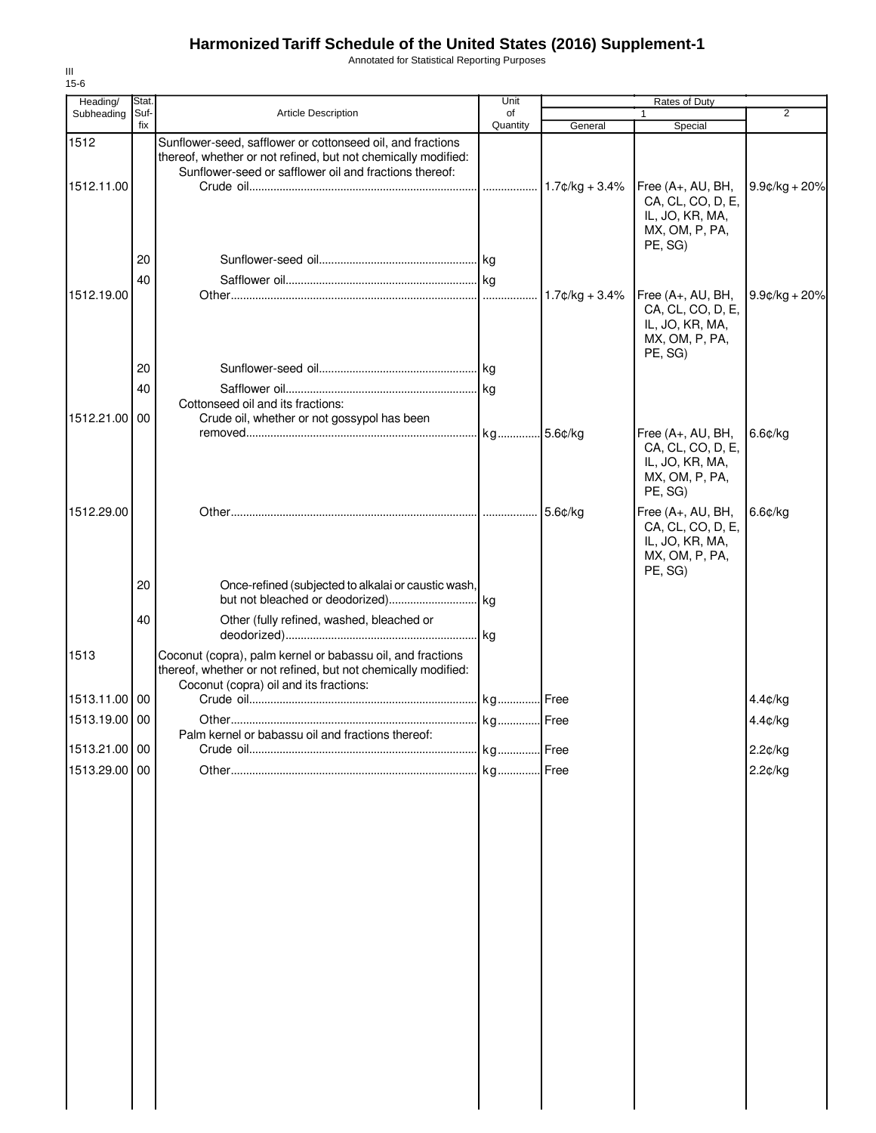Annotated for Statistical Reporting Purposes

| Heading/      | Stat.       |                                                                                                                                                                                       | Unit           |                   | Rates of Duty                                                                          |                 |
|---------------|-------------|---------------------------------------------------------------------------------------------------------------------------------------------------------------------------------------|----------------|-------------------|----------------------------------------------------------------------------------------|-----------------|
| Subheading    | Suf-<br>fix | Article Description                                                                                                                                                                   | of<br>Quantity | General           | $\mathbf{1}$<br>Special                                                                | $\overline{2}$  |
| 1512          |             | Sunflower-seed, safflower or cottonseed oil, and fractions<br>thereof, whether or not refined, but not chemically modified:<br>Sunflower-seed or safflower oil and fractions thereof: |                |                   |                                                                                        |                 |
| 1512.11.00    |             |                                                                                                                                                                                       |                | $1.7$ ¢/kg + 3.4% | Free (A+, AU, BH,<br>CA, CL, CO, D, E,<br>IL, JO, KR, MA,<br>MX, OM, P, PA,<br>PE, SG) | $9.9¢/kg + 20%$ |
|               | 20          |                                                                                                                                                                                       |                |                   |                                                                                        |                 |
|               | 40          |                                                                                                                                                                                       |                |                   |                                                                                        |                 |
| 1512.19.00    |             |                                                                                                                                                                                       |                |                   | Free (A+, AU, BH,<br>CA, CL, CO, D, E,<br>IL, JO, KR, MA,<br>MX, OM, P, PA,<br>PE, SG) | $9.9¢/kg + 20%$ |
|               | 20          |                                                                                                                                                                                       |                |                   |                                                                                        |                 |
|               | 40          |                                                                                                                                                                                       |                |                   |                                                                                        |                 |
| 1512.21.00 00 |             | Cottonseed oil and its fractions:<br>Crude oil, whether or not gossypol has been                                                                                                      |                |                   |                                                                                        |                 |
|               |             |                                                                                                                                                                                       |                |                   | Free (A+, AU, BH,<br>CA, CL, CO, D, E,<br>IL, JO, KR, MA,<br>MX, OM, P, PA,<br>PE, SG) | $6.6$ ¢/kg      |
| 1512.29.00    |             |                                                                                                                                                                                       |                | 5.6¢/kg           | Free (A+, AU, BH,<br>CA, CL, CO, D, E,<br>IL, JO, KR, MA,<br>MX, OM, P, PA,<br>PE, SG) | $6.6$ ¢/kg      |
|               | 20          | Once-refined (subjected to alkalai or caustic wash,                                                                                                                                   |                |                   |                                                                                        |                 |
|               | 40          | Other (fully refined, washed, bleached or                                                                                                                                             |                |                   |                                                                                        |                 |
| 1513          |             | Coconut (copra), palm kernel or babassu oil, and fractions<br>thereof, whether or not refined, but not chemically modified:<br>Coconut (copra) oil and its fractions:                 |                |                   |                                                                                        |                 |
| 1513.11.00 00 |             |                                                                                                                                                                                       |                |                   |                                                                                        | 4.4¢/kg         |
| 1513.19.00 00 |             |                                                                                                                                                                                       |                |                   |                                                                                        | 4.4¢/kg         |
|               |             | Palm kernel or babassu oil and fractions thereof:                                                                                                                                     |                |                   |                                                                                        |                 |
| 1513.21.00 00 |             |                                                                                                                                                                                       |                | Free              |                                                                                        | 2.2¢/kg         |
| 1513.29.00 00 |             |                                                                                                                                                                                       |                | Free              |                                                                                        | 2.2¢/kg         |
|               |             |                                                                                                                                                                                       |                |                   |                                                                                        |                 |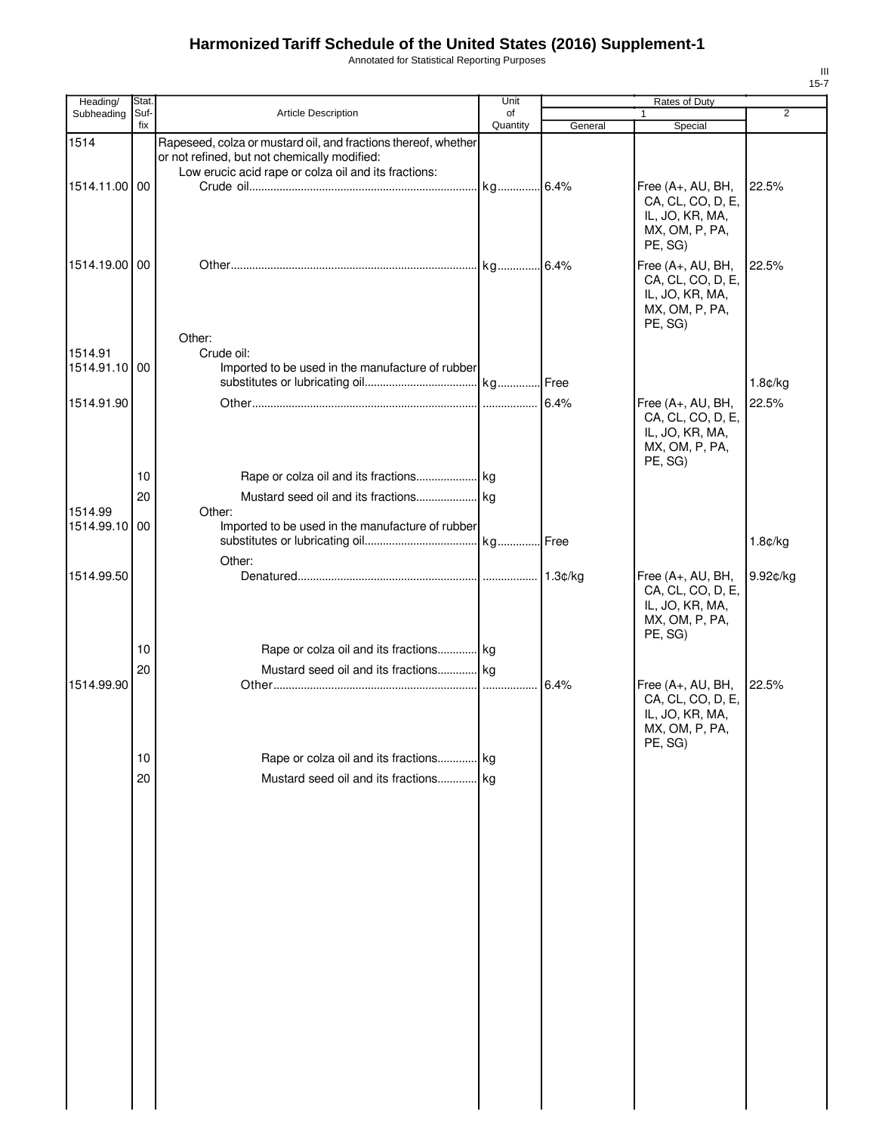Annotated for Statistical Reporting Purposes

| Heading/      | Stat.       |                                                                                                                                                                        | Unit           |         | Rates of Duty                                                                          |                |
|---------------|-------------|------------------------------------------------------------------------------------------------------------------------------------------------------------------------|----------------|---------|----------------------------------------------------------------------------------------|----------------|
| Subheading    | Suf-<br>fix | Article Description                                                                                                                                                    | of<br>Quantity | General | 1<br>Special                                                                           | $\overline{2}$ |
| 1514          |             | Rapeseed, colza or mustard oil, and fractions thereof, whether<br>or not refined, but not chemically modified:<br>Low erucic acid rape or colza oil and its fractions: |                |         |                                                                                        |                |
| 1514.11.00 00 |             |                                                                                                                                                                        |                |         | Free (A+, AU, BH,<br>CA, CL, CO, D, E,<br>IL, JO, KR, MA,<br>MX, OM, P, PA,<br>PE, SG) | 22.5%          |
| 1514.19.00 00 |             |                                                                                                                                                                        |                |         | Free (A+, AU, BH,<br>CA, CL, CO, D, E,<br>IL, JO, KR, MA,<br>MX, OM, P, PA,<br>PE, SG) | 22.5%          |
| 1514.91       |             | Other:<br>Crude oil:                                                                                                                                                   |                |         |                                                                                        |                |
| 1514.91.10 00 |             | Imported to be used in the manufacture of rubber                                                                                                                       |                |         |                                                                                        |                |
|               |             |                                                                                                                                                                        |                |         |                                                                                        | 1.8¢/kg        |
| 1514.91.90    |             |                                                                                                                                                                        |                | 6.4%    | Free (A+, AU, BH,<br>CA, CL, CO, D, E,<br>IL, JO, KR, MA,<br>MX, OM, P, PA,<br>PE, SG) | 22.5%          |
|               | 10          |                                                                                                                                                                        |                |         |                                                                                        |                |
| 1514.99       | 20          | Other:                                                                                                                                                                 |                |         |                                                                                        |                |
| 1514.99.10 00 |             | Imported to be used in the manufacture of rubber<br>Other:                                                                                                             |                |         |                                                                                        | 1.8¢/kg        |
| 1514.99.50    |             |                                                                                                                                                                        |                |         | Free (A+, AU, BH,<br>CA, CL, CO, D, E,<br>IL, JO, KR, MA,<br>MX, OM, P, PA,<br>PE, SG) | 9.92¢/kg       |
|               | 10          | Rape or colza oil and its fractions kg                                                                                                                                 |                |         |                                                                                        |                |
| 1514.99.90    | 20          | Mustard seed oil and its fractions kg                                                                                                                                  |                | 6.4%    | Free (A+, AU, BH,<br>CA, CL, CO, D, E,<br>IL, JO, KR, MA,<br>MX, OM, P, PA,            | 22.5%          |
|               |             |                                                                                                                                                                        |                |         | PE, SG)                                                                                |                |
|               | 10<br>20    | Rape or colza oil and its fractions kg<br>Mustard seed oil and its fractions kg                                                                                        |                |         |                                                                                        |                |
|               |             |                                                                                                                                                                        |                |         |                                                                                        |                |
|               |             |                                                                                                                                                                        |                |         |                                                                                        |                |
|               |             |                                                                                                                                                                        |                |         |                                                                                        |                |
|               |             |                                                                                                                                                                        |                |         |                                                                                        |                |
|               |             |                                                                                                                                                                        |                |         |                                                                                        |                |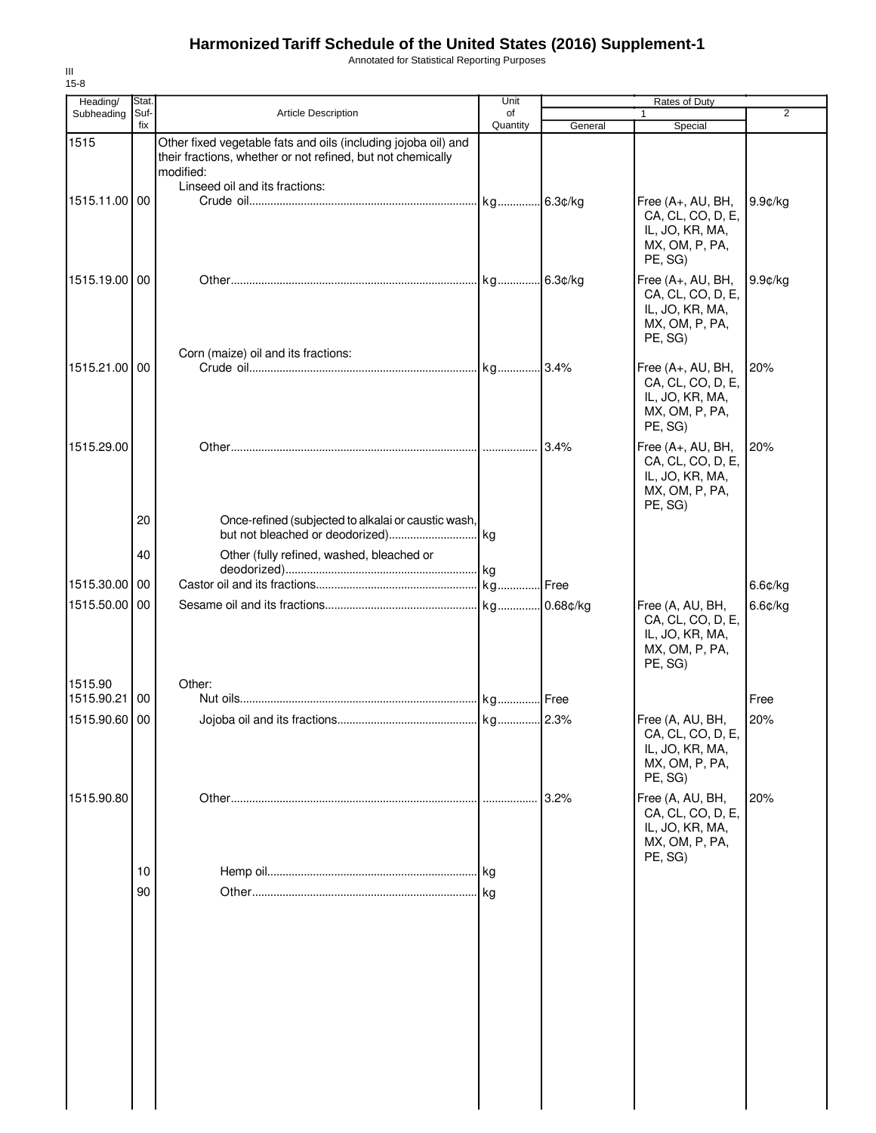Annotated for Statistical Reporting Purposes

| Stat. |                                                                                                                                                                  | Unit                                                                                                   |                                                           | Rates of Duty                                                                          | $\overline{2}$ |
|-------|------------------------------------------------------------------------------------------------------------------------------------------------------------------|--------------------------------------------------------------------------------------------------------|-----------------------------------------------------------|----------------------------------------------------------------------------------------|----------------|
| fix   |                                                                                                                                                                  | Quantity                                                                                               | General                                                   | Special                                                                                |                |
|       | Other fixed vegetable fats and oils (including jojoba oil) and<br>their fractions, whether or not refined, but not chemically<br>modified:                       |                                                                                                        |                                                           |                                                                                        |                |
|       |                                                                                                                                                                  |                                                                                                        |                                                           | Free (A+, AU, BH,<br>CA, CL, CO, D, E,<br>IL, JO, KR, MA,<br>MX, OM, P, PA,<br>PE, SG) | 9.9¢/kg        |
|       |                                                                                                                                                                  |                                                                                                        |                                                           | Free (A+, AU, BH,<br>CA, CL, CO, D, E,<br>IL, JO, KR, MA,<br>MX, OM, P, PA,<br>PE, SG) | $9.9$ ¢/kg     |
|       |                                                                                                                                                                  |                                                                                                        |                                                           | Free (A+, AU, BH,<br>CA, CL, CO, D, E,<br>IL, JO, KR, MA,<br>MX, OM, P, PA,<br>PE, SG) | 20%            |
|       |                                                                                                                                                                  |                                                                                                        |                                                           | Free (A+, AU, BH,<br>CA, CL, CO, D, E,<br>IL, JO, KR, MA,<br>MX, OM, P, PA,<br>PE, SG) | 20%            |
|       |                                                                                                                                                                  |                                                                                                        |                                                           |                                                                                        |                |
| 40    | Other (fully refined, washed, bleached or                                                                                                                        |                                                                                                        |                                                           |                                                                                        |                |
|       |                                                                                                                                                                  |                                                                                                        |                                                           |                                                                                        | 6.6¢/kg        |
|       |                                                                                                                                                                  |                                                                                                        |                                                           | Free (A, AU, BH,<br>CA, CL, CO, D, E,<br>IL, JO, KR, MA,<br>MX, OM, P, PA,<br>PE, SG)  | $6.6$ ¢/kg     |
|       |                                                                                                                                                                  |                                                                                                        |                                                           |                                                                                        | Free           |
|       |                                                                                                                                                                  |                                                                                                        |                                                           | Free (A, AU, BH,<br>CA, CL, CO, D, E,<br>IL, JO, KR, MA,<br>MX, OM, P, PA,<br>PE, SG)  | 20%            |
|       |                                                                                                                                                                  |                                                                                                        | 3.2%                                                      | Free (A, AU, BH,<br>CA, CL, CO, D, E,<br>IL, JO, KR, MA,<br>MX, OM, P, PA,<br>PE, SG)  | 20%            |
| 10    |                                                                                                                                                                  | kg                                                                                                     |                                                           |                                                                                        |                |
| 90    |                                                                                                                                                                  |                                                                                                        |                                                           |                                                                                        |                |
|       | Suf-<br>1515.11.00 00<br>1515.19.00 00<br>1515.21.00 00<br>1515.29.00<br>20<br>1515.30.00<br>00<br>1515.50.00 00<br>1515.90.21 00<br>1515.90.60 00<br>1515.90.80 | Article Description<br>Linseed oil and its fractions:<br>Corn (maize) oil and its fractions:<br>Other: | of<br>Once-refined (subjected to alkalai or caustic wash, | kg 2.3%                                                                                |                |

III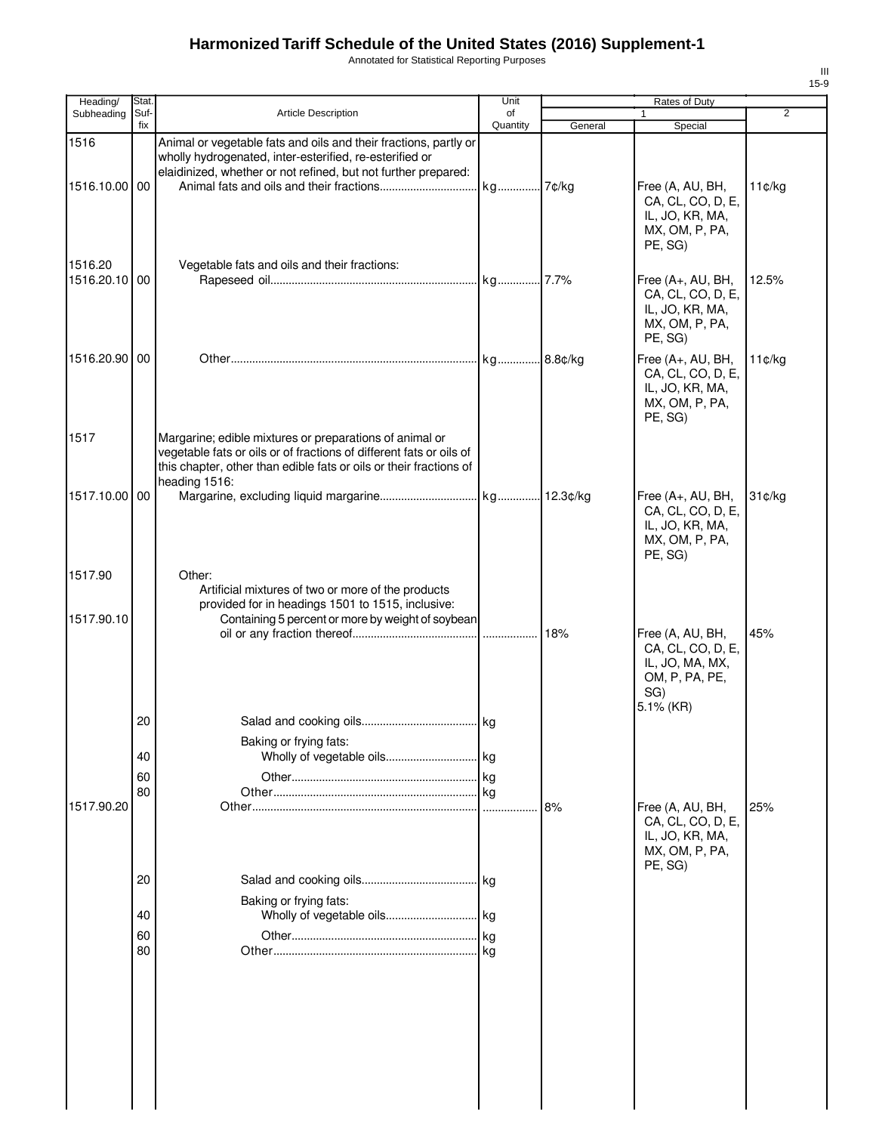Annotated for Statistical Reporting Purposes

| Heading/                 | Stat.       |                                                                                                                                                                                                                       | Unit           |         | Rates of Duty                                                                                  |                |
|--------------------------|-------------|-----------------------------------------------------------------------------------------------------------------------------------------------------------------------------------------------------------------------|----------------|---------|------------------------------------------------------------------------------------------------|----------------|
| Subheading               | Suf-<br>fix | <b>Article Description</b>                                                                                                                                                                                            | of<br>Quantity | General | $\mathbf{1}$<br>Special                                                                        | $\overline{2}$ |
| 1516                     |             | Animal or vegetable fats and oils and their fractions, partly or<br>wholly hydrogenated, inter-esterified, re-esterified or<br>elaidinized, whether or not refined, but not further prepared:                         |                |         |                                                                                                |                |
| 1516.10.00 00            |             |                                                                                                                                                                                                                       |                |         | Free (A, AU, BH,<br>CA, CL, CO, D, E,<br>IL, JO, KR, MA,<br>MX, OM, P, PA,<br>PE, SG)          | 11¢/kg         |
| 1516.20<br>1516.20.10 00 |             | Vegetable fats and oils and their fractions:                                                                                                                                                                          |                |         | Free (A+, AU, BH,<br>CA, CL, CO, D, E,<br>IL, JO, KR, MA,<br>MX, OM, P, PA,<br>PE, SG)         | 12.5%          |
| 1516.20.90 00            |             |                                                                                                                                                                                                                       |                |         | Free (A+, AU, BH,<br>CA, CL, CO, D, E,<br>IL, JO, KR, MA,<br>MX, OM, P, PA,<br>PE, SG)         | 11¢/kg         |
| 1517                     |             | Margarine; edible mixtures or preparations of animal or<br>vegetable fats or oils or of fractions of different fats or oils of<br>this chapter, other than edible fats or oils or their fractions of<br>heading 1516: |                |         |                                                                                                |                |
| 1517.10.00 00            |             |                                                                                                                                                                                                                       |                |         | Free (A+, AU, BH,<br>CA, CL, CO, D, E,<br>IL, JO, KR, MA,<br>MX, OM, P, PA,<br>PE, SG)         | 31¢/kg         |
| 1517.90                  |             | Other:<br>Artificial mixtures of two or more of the products<br>provided for in headings 1501 to 1515, inclusive:                                                                                                     |                |         |                                                                                                |                |
| 1517.90.10               |             | Containing 5 percent or more by weight of soybean                                                                                                                                                                     |                | 18%     | Free (A, AU, BH,<br>CA, CL, CO, D, E,<br>IL, JO, MA, MX,<br>OM, P, PA, PE,<br>SG)<br>5.1% (KR) | 45%            |
|                          | 20          | Baking or frying fats:                                                                                                                                                                                                |                |         |                                                                                                |                |
|                          | 40          |                                                                                                                                                                                                                       |                |         |                                                                                                |                |
|                          | 60<br>80    |                                                                                                                                                                                                                       |                |         |                                                                                                |                |
| 1517.90.20               |             |                                                                                                                                                                                                                       |                | 8%      | Free (A, AU, BH,<br>CA, CL, CO, D, E,<br>IL, JO, KR, MA,<br>MX, OM, P, PA,<br>PE, SG)          | 25%            |
|                          | 20          | Baking or frying fats:                                                                                                                                                                                                | kg             |         |                                                                                                |                |
|                          | 40          |                                                                                                                                                                                                                       |                |         |                                                                                                |                |
|                          | 60<br>80    |                                                                                                                                                                                                                       | kg<br>kg       |         |                                                                                                |                |
|                          |             |                                                                                                                                                                                                                       |                |         |                                                                                                |                |
|                          |             |                                                                                                                                                                                                                       |                |         |                                                                                                |                |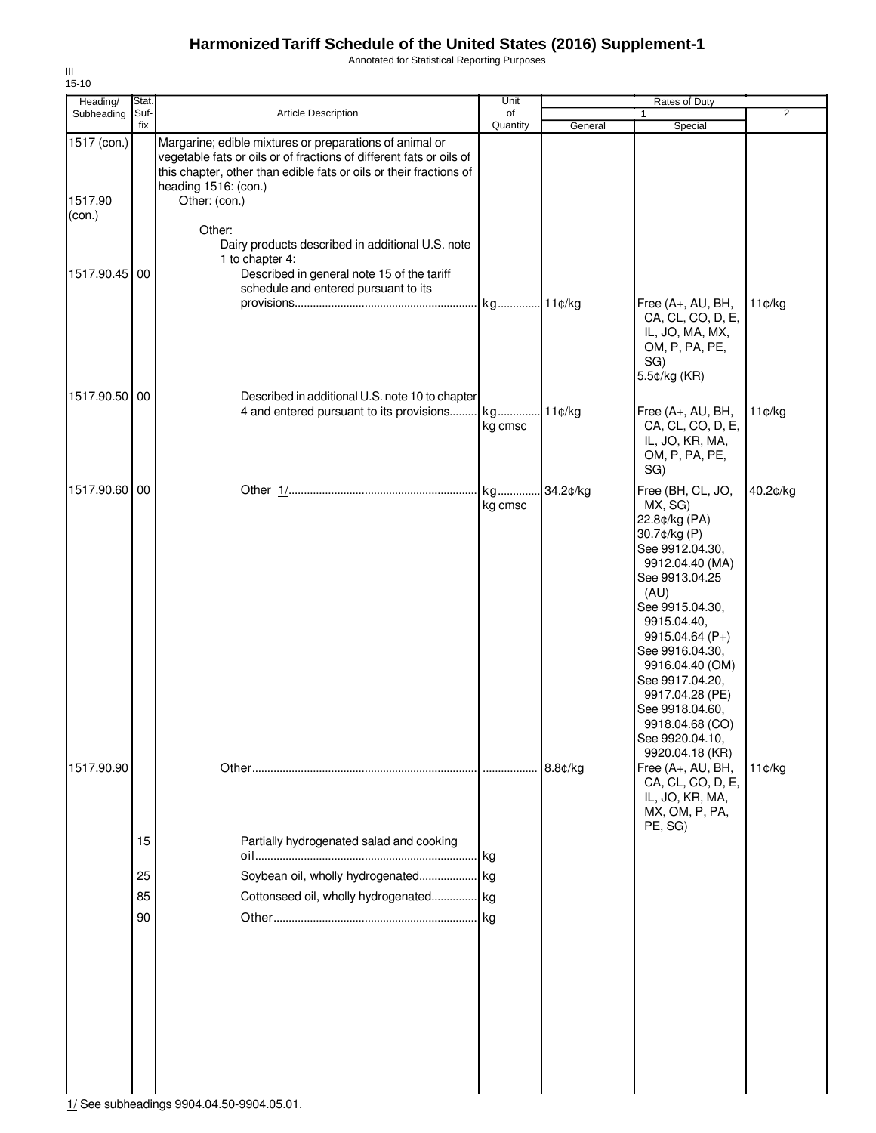Annotated for Statistical Reporting Purposes

| Heading/                         | Stat.                |                                                                                                                                                                                                                                               | Unit           |          | Rates of Duty                                                                                                                                                                                                                                                                                                                              |          |
|----------------------------------|----------------------|-----------------------------------------------------------------------------------------------------------------------------------------------------------------------------------------------------------------------------------------------|----------------|----------|--------------------------------------------------------------------------------------------------------------------------------------------------------------------------------------------------------------------------------------------------------------------------------------------------------------------------------------------|----------|
| Subheading                       | Suf-<br>fix          | Article Description                                                                                                                                                                                                                           | of<br>Quantity | General  | $\mathbf{1}$<br>Special                                                                                                                                                                                                                                                                                                                    | 2        |
| 1517 (con.)<br>1517.90<br>(con.) |                      | Margarine; edible mixtures or preparations of animal or<br>vegetable fats or oils or of fractions of different fats or oils of<br>this chapter, other than edible fats or oils or their fractions of<br>heading 1516: (con.)<br>Other: (con.) |                |          |                                                                                                                                                                                                                                                                                                                                            |          |
| 1517.90.45 00                    |                      | Other:<br>Dairy products described in additional U.S. note<br>1 to chapter 4:<br>Described in general note 15 of the tariff<br>schedule and entered pursuant to its                                                                           |                |          |                                                                                                                                                                                                                                                                                                                                            |          |
| 1517.90.50 00                    |                      |                                                                                                                                                                                                                                               |                |          | Free (A+, AU, BH,<br>CA, CL, CO, D, E,<br>IL, JO, MA, MX,<br>OM, P, PA, PE,<br>SG)<br>5.5¢/kg (KR)                                                                                                                                                                                                                                         | 11¢/kg   |
|                                  |                      | Described in additional U.S. note 10 to chapter<br>4 and entered pursuant to its provisions                                                                                                                                                   | kg<br>kg cmsc  | 11¢/kg   | Free (A+, AU, BH,<br>CA, CL, CO, D, E,<br>IL, JO, KR, MA,<br>OM, P, PA, PE,<br>SG)                                                                                                                                                                                                                                                         | 11¢/kg   |
| 1517.90.60 00                    |                      |                                                                                                                                                                                                                                               | kg<br>kg cmsc  | 34.2¢/kg | Free (BH, CL, JO,<br>MX, SG)<br>22.8¢/kg (PA)<br>30.7¢/kg (P)<br>See 9912.04.30,<br>9912.04.40 (MA)<br>See 9913.04.25<br>(AU)<br>See 9915.04.30,<br>9915.04.40,<br>9915.04.64 (P+)<br>See 9916.04.30,<br>9916.04.40 (OM)<br>See 9917.04.20,<br>9917.04.28 (PE)<br>See 9918.04.60,<br>9918.04.68 (CO)<br>See 9920.04.10,<br>9920.04.18 (KR) | 40.2¢/kg |
| 1517.90.90                       | 15<br>25<br>85<br>90 | Partially hydrogenated salad and cooking<br>Cottonseed oil, wholly hydrogenated kg<br>1/ See subheadings 9904.04.50-9904.05.01.                                                                                                               |                | 8.8¢/kg  | Free (A+, AU, BH,<br>CA, CL, CO, D, E,<br>IL, JO, KR, MA,<br>MX, OM, P, PA,<br>PE, SG)                                                                                                                                                                                                                                                     | 11¢/kg   |